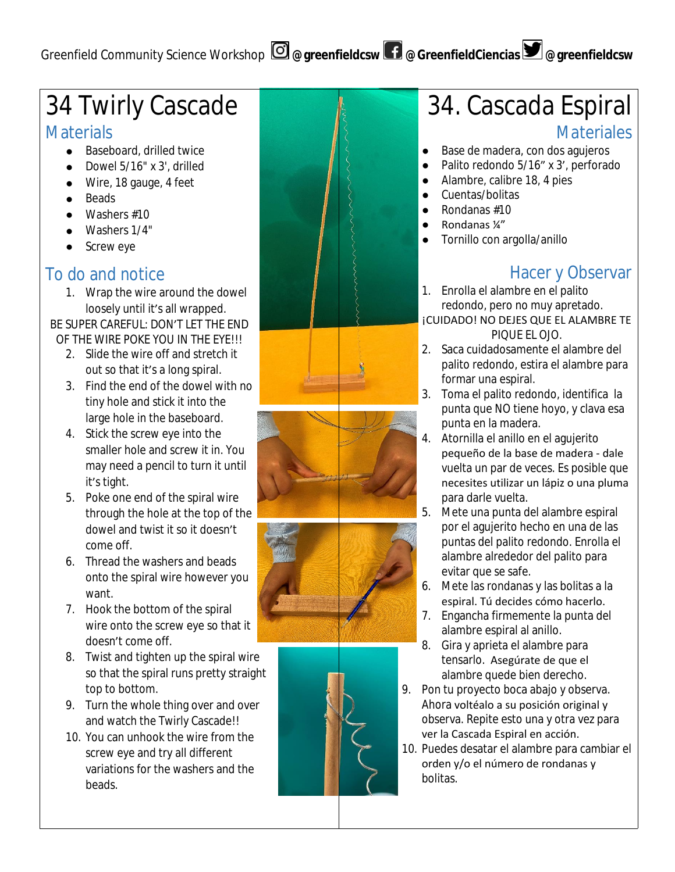# Greenfield Community Science Workshop **@greenfieldcsw @GreenfieldCiencias @greenfieldcsw**

# 34 Twirly Cascade

# **Materials**

- Baseboard, drilled twice
- Dowel 5/16" x 3', drilled
- Wire, 18 gauge, 4 feet
- Beads
- $\bullet$  Washers #10
- Washers 1/4"
- Screw eye

## To do and notice

1. Wrap the wire around the dowel loosely until it's all wrapped.

BE SUPER CAREFUL: DON'T LET THE END OF THE WIRE POKE YOU IN THE EYE!!!

- 2. Slide the wire off and stretch it out so that it's a long spiral.
- 3. Find the end of the dowel with no tiny hole and stick it into the large hole in the baseboard.
- 4. Stick the screw eye into the smaller hole and screw it in. You may need a pencil to turn it until it's tight.
- 5. Poke one end of the spiral wire through the hole at the top of the dowel and twist it so it doesn't come off.
- 6. Thread the washers and beads onto the spiral wire however you want.
- 7. Hook the bottom of the spiral wire onto the screw eye so that it doesn't come off.
- 8. Twist and tighten up the spiral wire so that the spiral runs pretty straight top to bottom.
- 9. Turn the whole thing over and over and watch the Twirly Cascade!!
- 10. You can unhook the wire from the screw eye and try all different variations for the washers and the beads.







# 34. Cascada Espiral

## **Materiales**

- Base de madera, con dos agujeros
- Palito redondo 5/16" x 3', perforado
- Alambre, calibre 18, 4 pies
- Cuentas/bolitas
- Rondanas #10
- Rondanas ¼"
- Tornillo con argolla/anillo

# Hacer y Observar

- 1. Enrolla el alambre en el palito redondo, pero no muy apretado. ¡CUIDADO! NO DEJES QUE EL ALAMBRE TE PIQUE EL OJO.
- 2. Saca cuidadosamente el alambre del palito redondo, estira el alambre para formar una espiral.
- 3. Toma el palito redondo, identifica la punta que NO tiene hoyo, y clava esa punta en la madera.
- 4. Atornilla el anillo en el agujerito pequeño de la base de madera - dale vuelta un par de veces. Es posible que necesites utilizar un lápiz o una pluma para darle vuelta.
- 5. Mete una punta del alambre espiral por el agujerito hecho en una de las puntas del palito redondo. Enrolla el alambre alrededor del palito para evitar que se safe.
- 6. Mete las rondanas y las bolitas a la espiral. Tú decides cómo hacerlo.
- 7. Engancha firmemente la punta del alambre espiral al anillo.
- 8. Gira y aprieta el alambre para tensarlo. Asegúrate de que el alambre quede bien derecho.
- 9. Pon tu proyecto boca abajo y observa. Ahora voltéalo a su posición original y observa. Repite esto una y otra vez para ver la Cascada Espiral en acción.
- 10. Puedes desatar el alambre para cambiar el orden y/o el número de rondanas y bolitas.